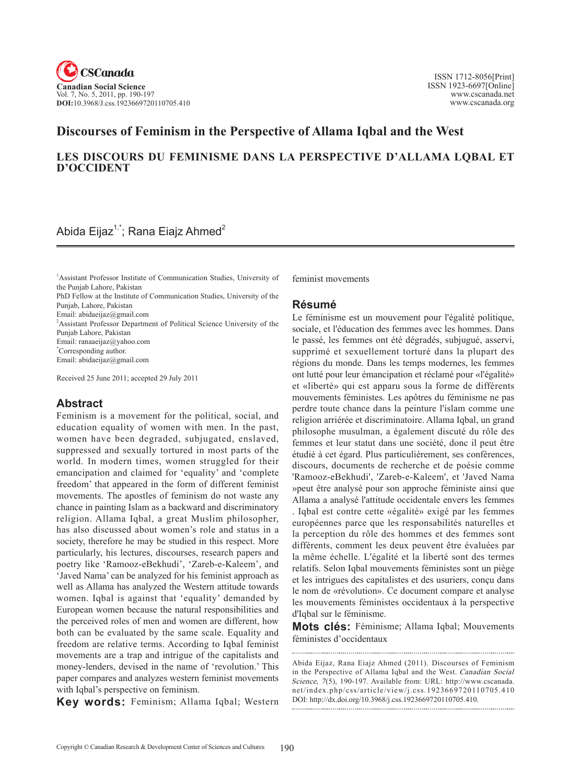

# **Discourses of Feminism in the Perspective of Allama Iqbal and the West**

### **LES DISCOURS DU FEMINISME DANS LA PERSPECTIVE D'ALLAMA LQBAL ET D'OCCIDENT**

## Abida Eijaz<sup>1,\*</sup>; Rana Eiajz Ahmed<sup>2</sup>

1 Assistant Professor Institute of Communication Studies, University of the Punjab Lahore, Pakistan

PhD Fellow at the Institute of Communication Studies, University of the Punjab, Lahore, Pakistan

Email: abidaeijaz@gmail.com

<sup>2</sup> Assistant Professor Department of Political Science University of the Punjab Lahore, Pakistan

Email: ranaaeijaz@yahoo.com \* Corresponding author.

Email: abidaeijaz@gmail.com

Received 25 June 2011; accepted 29 July 2011

## **Abstract**

Feminism is a movement for the political, social, and education equality of women with men. In the past, women have been degraded, subjugated, enslaved, suppressed and sexually tortured in most parts of the world. In modern times, women struggled for their emancipation and claimed for 'equality' and 'complete freedom' that appeared in the form of different feminist movements. The apostles of feminism do not waste any chance in painting Islam as a backward and discriminatory religion. Allama Iqbal, a great Muslim philosopher, has also discussed about women's role and status in a society, therefore he may be studied in this respect. More particularly, his lectures, discourses, research papers and poetry like 'Ramooz-eBekhudi', 'Zareb-e-Kaleem', and 'Javed Nama' can be analyzed for his feminist approach as well as Allama has analyzed the Western attitude towards women. Iqbal is against that 'equality' demanded by European women because the natural responsibilities and the perceived roles of men and women are different, how both can be evaluated by the same scale. Equality and freedom are relative terms. According to Iqbal feminist movements are a trap and intrigue of the capitalists and money-lenders, devised in the name of 'revolution.' This paper compares and analyzes western feminist movements with Iqbal's perspective on feminism.

**Key words:** Feminism; Allama Iqbal; Western

feminist movements

#### **Résumé**

Le féminisme est un mouvement pour l'égalité politique, sociale, et l'éducation des femmes avec les hommes. Dans le passé, les femmes ont été dégradés, subjugué, asservi, supprimé et sexuellement torturé dans la plupart des régions du monde. Dans les temps modernes, les femmes ont lutté pour leur émancipation et réclamé pour «l'égalité» et «liberté» qui est apparu sous la forme de différents mouvements féministes. Les apôtres du féminisme ne pas perdre toute chance dans la peinture l'islam comme une religion arriérée et discriminatoire. Allama Iqbal, un grand philosophe musulman, a également discuté du rôle des femmes et leur statut dans une société, donc il peut être étudié à cet égard. Plus particulièrement, ses conférences, discours, documents de recherche et de poésie comme 'Ramooz-eBekhudi', 'Zareb-e-Kaleem', et 'Javed Nama »peut être analysé pour son approche féministe ainsi que Allama a analysé l'attitude occidentale envers les femmes . Iqbal est contre cette «égalité» exigé par les femmes européennes parce que les responsabilités naturelles et la perception du rôle des hommes et des femmes sont différents, comment les deux peuvent être évaluées par la même échelle. L'égalité et la liberté sont des termes relatifs. Selon Iqbal mouvements féministes sont un piège et les intrigues des capitalistes et des usuriers, conçu dans le nom de «révolution». Ce document compare et analyse les mouvements féministes occidentaux à la perspective d'Iqbal sur le féminisme.

**Mots clés:** Féminisme; Allama Iqbal; Mouvements féministes d'occidentaux

Abida Eijaz, Rana Eiajz Ahmed (2011). Discourses of Feminism in the Perspective of Allama Iqbal and the West. Canadian Social Science, 7(5), 190-197. Available from: URL: http://www.cscanada. net/index.php/css/article/view/j.css.1923669720110705.410 DOI: http://dx.doi.org/10.3968/j.css.1923669720110705.410.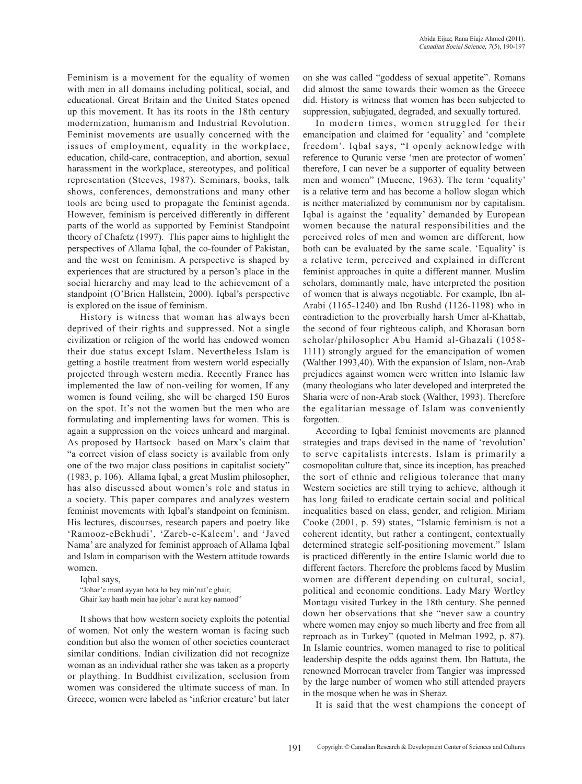Feminism is a movement for the equality of women with men in all domains including political, social, and educational. Great Britain and the United States opened up this movement. It has its roots in the 18th century modernization, humanism and Industrial Revolution. Feminist movements are usually concerned with the issues of employment, equality in the workplace, education, child-care, contraception, and abortion, sexual harassment in the workplace, stereotypes, and political representation (Steeves, 1987). Seminars, books, talk shows, conferences, demonstrations and many other tools are being used to propagate the feminist agenda. However, feminism is perceived differently in different parts of the world as supported by Feminist Standpoint theory of Chafetz (1997). This paper aims to highlight the perspectives of Allama Iqbal, the co-founder of Pakistan, and the west on feminism. A perspective is shaped by experiences that are structured by a person's place in the social hierarchy and may lead to the achievement of a standpoint (O'Brien Hallstein, 2000). Iqbal's perspective is explored on the issue of feminism.

History is witness that woman has always been deprived of their rights and suppressed. Not a single civilization or religion of the world has endowed women their due status except Islam. Nevertheless Islam is getting a hostile treatment from western world especially projected through western media. Recently France has implemented the law of non-veiling for women, If any women is found veiling, she will be charged 150 Euros on the spot. It's not the women but the men who are formulating and implementing laws for women. This is again a suppression on the voices unheard and marginal. As proposed by Hartsock based on Marx's claim that "a correct vision of class society is available from only one of the two major class positions in capitalist society" (1983, p. 106). Allama Iqbal, a great Muslim philosopher, has also discussed about women's role and status in a society. This paper compares and analyzes western feminist movements with Iqbal's standpoint on feminism. His lectures, discourses, research papers and poetry like 'Ramooz-eBekhudi', 'Zareb-e-Kaleem', and 'Javed Nama' are analyzed for feminist approach of Allama Iqbal and Islam in comparison with the Western attitude towards women.

Iqbal says,

"Johar'e mard ayyan hota ha bey min'nat'e ghair, Ghair kay haath mein hae johar'e aurat key namood"

It shows that how western society exploits the potential of women. Not only the western woman is facing such condition but also the women of other societies counteract similar conditions. Indian civilization did not recognize woman as an individual rather she was taken as a property or plaything. In Buddhist civilization, seclusion from women was considered the ultimate success of man. In Greece, women were labeled as 'inferior creature' but later

on she was called "goddess of sexual appetite". Romans did almost the same towards their women as the Greece did. History is witness that women has been subjected to suppression, subjugated, degraded, and sexually tortured.

In modern times, women struggled for their emancipation and claimed for 'equality' and 'complete freedom'. Iqbal says, "I openly acknowledge with reference to Quranic verse 'men are protector of women' therefore, I can never be a supporter of equality between men and women" (Mueene, 1963). The term 'equality' is a relative term and has become a hollow slogan which is neither materialized by communism nor by capitalism. Iqbal is against the 'equality' demanded by European women because the natural responsibilities and the perceived roles of men and women are different, how both can be evaluated by the same scale. 'Equality' is a relative term, perceived and explained in different feminist approaches in quite a different manner. Muslim scholars, dominantly male, have interpreted the position of women that is always negotiable. For example, Ibn al-Arabi (1165-1240) and Ibn Rushd (1126-1198) who in contradiction to the proverbially harsh Umer al-Khattab, the second of four righteous caliph, and Khorasan born scholar/philosopher Abu Hamid al-Ghazali (1058- 1111) strongly argued for the emancipation of women (Walther 1993,40). With the expansion of Islam, non-Arab prejudices against women were written into Islamic law (many theologians who later developed and interpreted the Sharia were of non-Arab stock (Walther, 1993). Therefore the egalitarian message of Islam was conveniently forgotten.

According to Iqbal feminist movements are planned strategies and traps devised in the name of 'revolution' to serve capitalists interests. Islam is primarily a cosmopolitan culture that, since its inception, has preached the sort of ethnic and religious tolerance that many Western societies are still trying to achieve, although it has long failed to eradicate certain social and political inequalities based on class, gender, and religion. Miriam Cooke (2001, p. 59) states, "Islamic feminism is not a coherent identity, but rather a contingent, contextually determined strategic self-positioning movement." Islam is practiced differently in the entire Islamic world due to different factors. Therefore the problems faced by Muslim women are different depending on cultural, social, political and economic conditions. Lady Mary Wortley Montagu visited Turkey in the 18th century. She penned down her observations that she "never saw a country where women may enjoy so much liberty and free from all reproach as in Turkey" (quoted in Melman 1992, p. 87). In Islamic countries, women managed to rise to political leadership despite the odds against them. Ibn Battuta, the renowned Morrocan traveler from Tangier was impressed by the large number of women who still attended prayers in the mosque when he was in Sheraz.

It is said that the west champions the concept of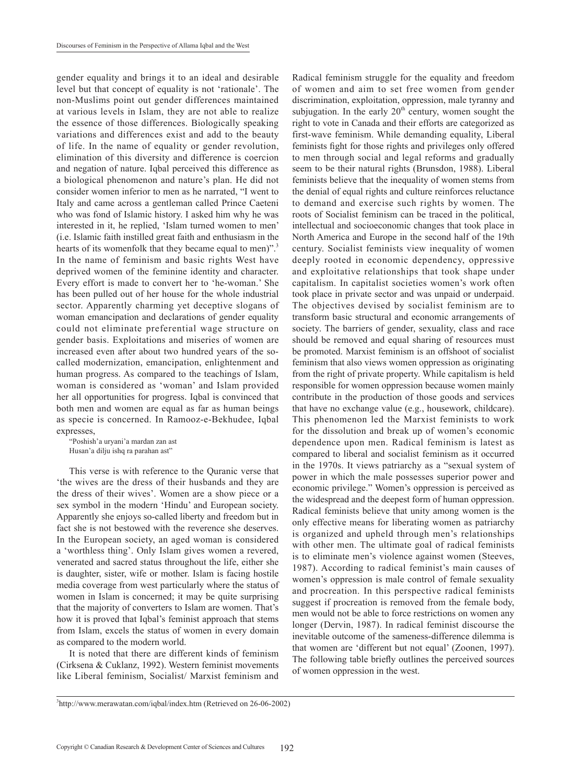gender equality and brings it to an ideal and desirable level but that concept of equality is not 'rationale'. The non-Muslims point out gender differences maintained at various levels in Islam, they are not able to realize the essence of those differences. Biologically speaking variations and differences exist and add to the beauty of life. In the name of equality or gender revolution, elimination of this diversity and difference is coercion and negation of nature. Iqbal perceived this difference as a biological phenomenon and nature's plan. He did not consider women inferior to men as he narrated, "I went to Italy and came across a gentleman called Prince Caeteni who was fond of Islamic history. I asked him why he was interested in it, he replied, 'Islam turned women to men' (i.e. Islamic faith instilled great faith and enthusiasm in the hearts of its womenfolk that they became equal to men)".<sup>3</sup> In the name of feminism and basic rights West have deprived women of the feminine identity and character. Every effort is made to convert her to 'he-woman.' She has been pulled out of her house for the whole industrial sector. Apparently charming yet deceptive slogans of woman emancipation and declarations of gender equality could not eliminate preferential wage structure on gender basis. Exploitations and miseries of women are increased even after about two hundred years of the socalled modernization, emancipation, enlightenment and human progress. As compared to the teachings of Islam, woman is considered as 'woman' and Islam provided her all opportunities for progress. Iqbal is convinced that both men and women are equal as far as human beings as specie is concerned. In Ramooz-e-Bekhudee, Iqbal expresses,

"Poshish'a uryani'a mardan zan ast Husan'a dilju ishq ra parahan ast"

This verse is with reference to the Quranic verse that 'the wives are the dress of their husbands and they are the dress of their wives'. Women are a show piece or a sex symbol in the modern 'Hindu' and European society. Apparently she enjoys so-called liberty and freedom but in fact she is not bestowed with the reverence she deserves. In the European society, an aged woman is considered a 'worthless thing'. Only Islam gives women a revered, venerated and sacred status throughout the life, either she is daughter, sister, wife or mother. Islam is facing hostile media coverage from west particularly where the status of women in Islam is concerned; it may be quite surprising that the majority of converters to Islam are women. That's how it is proved that Iqbal's feminist approach that stems from Islam, excels the status of women in every domain as compared to the modern world.

It is noted that there are different kinds of feminism (Cirksena & Cuklanz, 1992). Western feminist movements like Liberal feminism, Socialist/ Marxist feminism and Radical feminism struggle for the equality and freedom of women and aim to set free women from gender discrimination, exploitation, oppression, male tyranny and subjugation. In the early  $20<sup>th</sup>$  century, women sought the right to vote in Canada and their efforts are categorized as first-wave feminism. While demanding equality, Liberal feminists fight for those rights and privileges only offered to men through social and legal reforms and gradually seem to be their natural rights (Brunsdon, 1988). Liberal feminists believe that the inequality of women stems from the denial of equal rights and culture reinforces reluctance to demand and exercise such rights by women. The roots of Socialist feminism can be traced in the political, intellectual and socioeconomic changes that took place in North America and Europe in the second half of the 19th century. Socialist feminists view inequality of women deeply rooted in economic dependency, oppressive and exploitative relationships that took shape under capitalism. In capitalist societies women's work often took place in private sector and was unpaid or underpaid. The objectives devised by socialist feminism are to transform basic structural and economic arrangements of society. The barriers of gender, sexuality, class and race should be removed and equal sharing of resources must be promoted. Marxist feminism is an offshoot of socialist feminism that also views women oppression as originating from the right of private property. While capitalism is held responsible for women oppression because women mainly contribute in the production of those goods and services that have no exchange value (e.g., housework, childcare). This phenomenon led the Marxist feminists to work for the dissolution and break up of women's economic dependence upon men. Radical feminism is latest as compared to liberal and socialist feminism as it occurred in the 1970s. It views patriarchy as a "sexual system of power in which the male possesses superior power and economic privilege." Women's oppression is perceived as the widespread and the deepest form of human oppression. Radical feminists believe that unity among women is the only effective means for liberating women as patriarchy is organized and upheld through men's relationships with other men. The ultimate goal of radical feminists is to eliminate men's violence against women (Steeves, 1987). According to radical feminist's main causes of women's oppression is male control of female sexuality and procreation. In this perspective radical feminists suggest if procreation is removed from the female body, men would not be able to force restrictions on women any longer (Dervin, 1987). In radical feminist discourse the inevitable outcome of the sameness-difference dilemma is that women are 'different but not equal' (Zoonen, 1997). The following table briefly outlines the perceived sources of women oppression in the west.

<sup>3</sup> http://www.merawatan.com/iqbal/index.htm (Retrieved on 26-06-2002)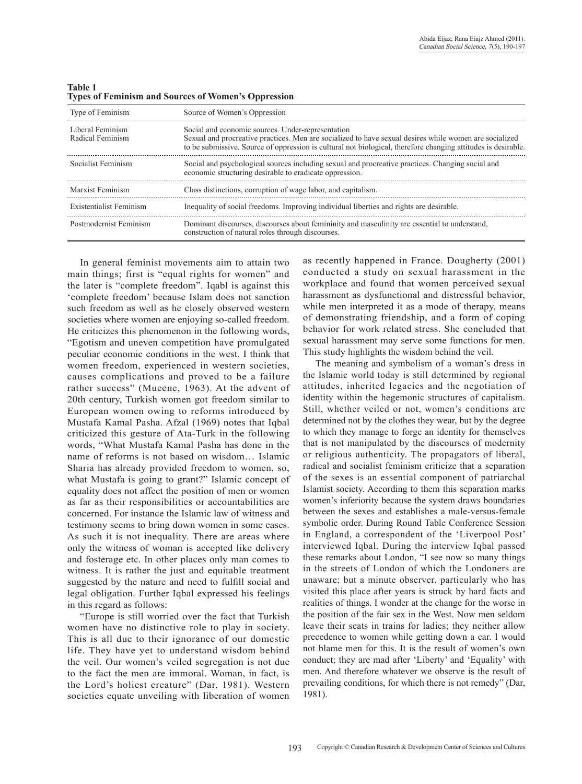| <b>Table 1</b> |                                                            |  |  |  |
|----------------|------------------------------------------------------------|--|--|--|
|                | <b>Types of Feminism and Sources of Women's Oppression</b> |  |  |  |

| Type of Feminism                     | Source of Women's Oppression                                                                                                                                                                                                                                                 |
|--------------------------------------|------------------------------------------------------------------------------------------------------------------------------------------------------------------------------------------------------------------------------------------------------------------------------|
| Liberal Feminism<br>Radical Feminism | Social and economic sources. Under-representation<br>Sexual and procreative practices. Men are socialized to have sexual desires while women are socialized<br>to be submissive. Source of oppression is cultural not biological, therefore changing attitudes is desirable. |
| Socialist Feminism                   | Social and psychological sources including sexual and procreative practices. Changing social and<br>economic structuring desirable to eradicate oppression.                                                                                                                  |
| Marxist Feminism                     | Class distinctions, corruption of wage labor, and capitalism.                                                                                                                                                                                                                |
| Existentialist Feminism              | Inequality of social freedoms. Improving individual liberties and rights are desirable.                                                                                                                                                                                      |
| Postmodernist Feminism               | Dominant discourses, discourses about femininity and masculinity are essential to understand,<br>construction of natural roles through discourses.                                                                                                                           |

In general feminist movements aim to attain two main things; first is "equal rights for women" and the later is "complete freedom". Iqabl is against this 'complete freedom' because Islam does not sanction such freedom as well as he closely observed western societies where women are enjoying so-called freedom. He criticizes this phenomenon in the following words, "Egotism and uneven competition have promulgated peculiar economic conditions in the west. I think that women freedom, experienced in western societies, causes complications and proved to be a failure rather success" (Mueene, 1963). At the advent of 20th century, Turkish women got freedom similar to European women owing to reforms introduced by Mustafa Kamal Pasha. Afzal (1969) notes that Iqbal criticized this gesture of Ata-Turk in the following words, "What Mustafa Kamal Pasha has done in the name of reforms is not based on wisdom… Islamic Sharia has already provided freedom to women, so, what Mustafa is going to grant?" Islamic concept of equality does not affect the position of men or women as far as their responsibilities or accountabilities are concerned. For instance the Islamic law of witness and testimony seems to bring down women in some cases. As such it is not inequality. There are areas where only the witness of woman is accepted like delivery and fosterage etc. In other places only man comes to witness. It is rather the just and equitable treatment suggested by the nature and need to fulfill social and legal obligation. Further Iqbal expressed his feelings in this regard as follows:

"Europe is still worried over the fact that Turkish women have no distinctive role to play in society. This is all due to their ignorance of our domestic life. They have yet to understand wisdom behind the veil. Our women's veiled segregation is not due to the fact the men are immoral. Woman, in fact, is the Lord's holiest creature" (Dar, 1981). Western societies equate unveiling with liberation of women

as recently happened in France. Dougherty (2001) conducted a study on sexual harassment in the workplace and found that women perceived sexual harassment as dysfunctional and distressful behavior, while men interpreted it as a mode of therapy, means of demonstrating friendship, and a form of coping behavior for work related stress. She concluded that sexual harassment may serve some functions for men. This study highlights the wisdom behind the veil.

The meaning and symbolism of a woman's dress in the Islamic world today is still determined by regional attitudes, inherited legacies and the negotiation of identity within the hegemonic structures of capitalism. Still, whether veiled or not, women's conditions are determined not by the clothes they wear, but by the degree to which they manage to forge an identity for themselves that is not manipulated by the discourses of modernity or religious authenticity. The propagators of liberal, radical and socialist feminism criticize that a separation of the sexes is an essential component of patriarchal Islamist society. According to them this separation marks women's inferiority because the system draws boundaries between the sexes and establishes a male-versus-female symbolic order. During Round Table Conference Session in England, a correspondent of the 'Liverpool Post' interviewed Iqbal. During the interview Iqbal passed these remarks about London, "I see now so many things in the streets of London of which the Londoners are unaware; but a minute observer, particularly who has visited this place after years is struck by hard facts and realities of things. I wonder at the change for the worse in the position of the fair sex in the West. Now men seldom leave their seats in trains for ladies; they neither allow precedence to women while getting down a car. I would not blame men for this. It is the result of women's own conduct; they are mad after 'Liberty' and 'Equality' with men. And therefore whatever we observe is the result of prevailing conditions, for which there is not remedy" (Dar, 1981).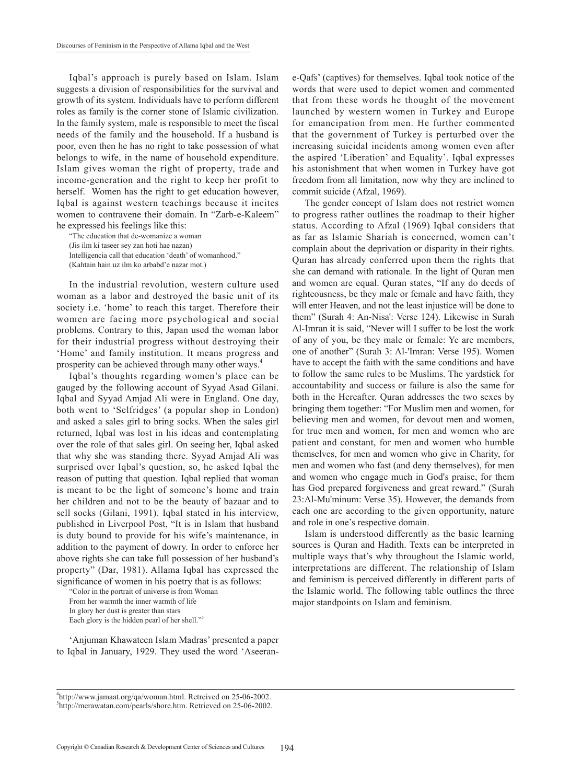Iqbal's approach is purely based on Islam. Islam suggests a division of responsibilities for the survival and growth of its system. Individuals have to perform different roles as family is the corner stone of Islamic civilization. In the family system, male is responsible to meet the fiscal needs of the family and the household. If a husband is poor, even then he has no right to take possession of what belongs to wife, in the name of household expenditure. Islam gives woman the right of property, trade and income-generation and the right to keep her profit to herself. Women has the right to get education however, Iqbal is against western teachings because it incites women to contravene their domain. In "Zarb-e-Kaleem" he expressed his feelings like this:

"The education that de-womanize a woman (Jis ilm ki taseer sey zan hoti hae nazan) Intelligencia call that education 'death' of womanhood." (Kahtain hain uz ilm ko arbabd'e nazar mot.)

In the industrial revolution, western culture used woman as a labor and destroyed the basic unit of its society i.e. 'home' to reach this target. Therefore their women are facing more psychological and social problems. Contrary to this, Japan used the woman labor for their industrial progress without destroying their 'Home' and family institution. It means progress and prosperity can be achieved through many other ways.<sup>4</sup>

Iqbal's thoughts regarding women's place can be gauged by the following account of Syyad Asad Gilani. Iqbal and Syyad Amjad Ali were in England. One day, both went to 'Selfridges' (a popular shop in London) and asked a sales girl to bring socks. When the sales girl returned, Iqbal was lost in his ideas and contemplating over the role of that sales girl. On seeing her, Iqbal asked that why she was standing there. Syyad Amjad Ali was surprised over Iqbal's question, so, he asked Iqbal the reason of putting that question. Iqbal replied that woman is meant to be the light of someone's home and train her children and not to be the beauty of bazaar and to sell socks (Gilani, 1991). Iqbal stated in his interview, published in Liverpool Post, "It is in Islam that husband is duty bound to provide for his wife's maintenance, in addition to the payment of dowry. In order to enforce her above rights she can take full possession of her husband's property" (Dar, 1981). Allama Iqbal has expressed the significance of women in his poetry that is as follows:

"Color in the portrait of universe is from Woman From her warmth the inner warmth of life In glory her dust is greater than stars Each glory is the hidden pearl of her shell."5

'Anjuman Khawateen Islam Madras' presented a paper to Iqbal in January, 1929. They used the word 'Aseerane-Qafs' (captives) for themselves. Iqbal took notice of the words that were used to depict women and commented that from these words he thought of the movement launched by western women in Turkey and Europe for emancipation from men. He further commented that the government of Turkey is perturbed over the increasing suicidal incidents among women even after the aspired 'Liberation' and Equality'. Iqbal expresses his astonishment that when women in Turkey have got freedom from all limitation, now why they are inclined to commit suicide (Afzal, 1969).

The gender concept of Islam does not restrict women to progress rather outlines the roadmap to their higher status. According to Afzal (1969) Iqbal considers that as far as Islamic Shariah is concerned, women can't complain about the deprivation or disparity in their rights. Quran has already conferred upon them the rights that she can demand with rationale. In the light of Quran men and women are equal. Quran states, "If any do deeds of righteousness, be they male or female and have faith, they will enter Heaven, and not the least injustice will be done to them" (Surah 4: An-Nisa': Verse 124). Likewise in Surah Al-Imran it is said, "Never will I suffer to be lost the work of any of you, be they male or female: Ye are members, one of another" (Surah 3: Al-'Imran: Verse 195). Women have to accept the faith with the same conditions and have to follow the same rules to be Muslims. The yardstick for accountability and success or failure is also the same for both in the Hereafter. Quran addresses the two sexes by bringing them together: "For Muslim men and women, for believing men and women, for devout men and women, for true men and women, for men and women who are patient and constant, for men and women who humble themselves, for men and women who give in Charity, for men and women who fast (and deny themselves), for men and women who engage much in God's praise, for them has God prepared forgiveness and great reward." (Surah 23:Al-Mu'minum: Verse 35). However, the demands from each one are according to the given opportunity, nature and role in one's respective domain.

Islam is understood differently as the basic learning sources is Quran and Hadith. Texts can be interpreted in multiple ways that's why throughout the Islamic world, interpretations are different. The relationship of Islam and feminism is perceived differently in different parts of the Islamic world. The following table outlines the three major standpoints on Islam and feminism.

<sup>4</sup> http://www.jamaat.org/qa/woman.html. Retreived on 25-06-2002. 5 http://merawatan.com/pearls/shore.htm. Retrieved on 25-06-2002.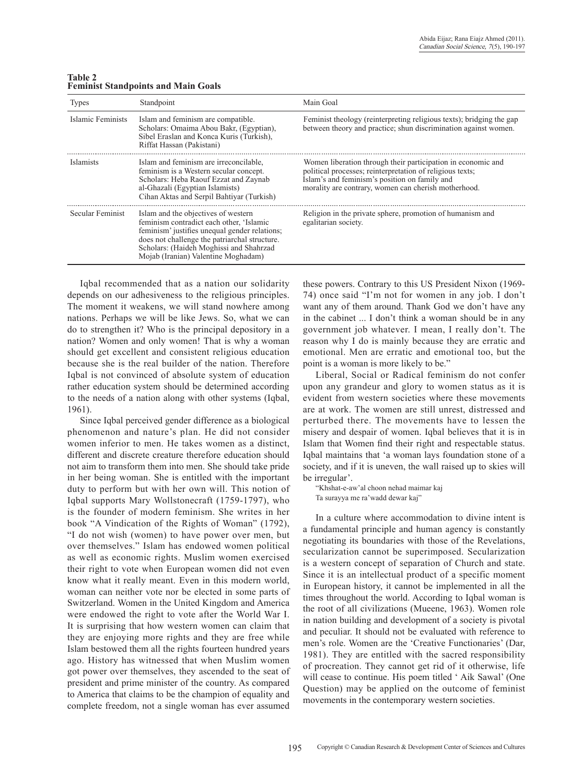| <b>Types</b>      | Standpoint                                                                                                                                                                                                                                                          | Main Goal                                                                                                                                                                                                                          |
|-------------------|---------------------------------------------------------------------------------------------------------------------------------------------------------------------------------------------------------------------------------------------------------------------|------------------------------------------------------------------------------------------------------------------------------------------------------------------------------------------------------------------------------------|
| Islamic Feminists | Islam and feminism are compatible.<br>Scholars: Omaima Abou Bakr, (Egyptian),<br>Sibel Eraslan and Konca Kuris (Turkish),<br>Riffat Hassan (Pakistani)                                                                                                              | Feminist theology (reinterpreting religious texts); bridging the gap<br>between theory and practice; shun discrimination against women.                                                                                            |
| <b>Islamists</b>  | Islam and feminism are irreconcilable.<br>feminism is a Western secular concept.<br>Scholars: Heba Raouf Ezzat and Zaynab<br>al-Ghazali (Egyptian Islamists)<br>Cihan Aktas and Serpil Bahtiyar (Turkish)                                                           | Women liberation through their participation in economic and<br>political processes; reinterpretation of religious texts;<br>Islam's and feminism's position on family and<br>morality are contrary, women can cherish motherhood. |
| Secular Feminist  | Islam and the objectives of western<br>feminism contradict each other, 'Islamic<br>feminism' justifies unequal gender relations;<br>does not challenge the patriarchal structure.<br>Scholars: (Haideh Moghissi and Shahrzad<br>Mojab (Iranian) Valentine Moghadam) | Religion in the private sphere, promotion of humanism and<br>egalitarian society.                                                                                                                                                  |

**Table 2 Feminist standpoints and main goals**

Iqbal recommended that as a nation our solidarity depends on our adhesiveness to the religious principles. The moment it weakens, we will stand nowhere among nations. Perhaps we will be like Jews. So, what we can do to strengthen it? Who is the principal depository in a nation? Women and only women! That is why a woman should get excellent and consistent religious education because she is the real builder of the nation. Therefore Iqbal is not convinced of absolute system of education rather education system should be determined according to the needs of a nation along with other systems (Iqbal, 1961).

Since Iqbal perceived gender difference as a biological phenomenon and nature's plan. He did not consider women inferior to men. He takes women as a distinct, different and discrete creature therefore education should not aim to transform them into men. She should take pride in her being woman. She is entitled with the important duty to perform but with her own will. This notion of Iqbal supports Mary Wollstonecraft (1759-1797), who is the founder of modern feminism. She writes in her book "A Vindication of the Rights of Woman" (1792), "I do not wish (women) to have power over men, but over themselves." Islam has endowed women political as well as economic rights. Muslim women exercised their right to vote when European women did not even know what it really meant. Even in this modern world, woman can neither vote nor be elected in some parts of Switzerland. Women in the United Kingdom and America were endowed the right to vote after the World War I. It is surprising that how western women can claim that they are enjoying more rights and they are free while Islam bestowed them all the rights fourteen hundred years ago. History has witnessed that when Muslim women got power over themselves, they ascended to the seat of president and prime minister of the country. As compared to America that claims to be the champion of equality and complete freedom, not a single woman has ever assumed

these powers. Contrary to this US President Nixon (1969- 74) once said "I'm not for women in any job. I don't want any of them around. Thank God we don't have any in the cabinet ... I don't think a woman should be in any government job whatever. I mean, I really don't. The reason why I do is mainly because they are erratic and emotional. Men are erratic and emotional too, but the point is a woman is more likely to be."

Liberal, Social or Radical feminism do not confer upon any grandeur and glory to women status as it is evident from western societies where these movements are at work. The women are still unrest, distressed and perturbed there. The movements have to lessen the misery and despair of women. Iqbal believes that it is in Islam that Women find their right and respectable status. Iqbal maintains that 'a woman lays foundation stone of a society, and if it is uneven, the wall raised up to skies will be irregular'.

"Khshat-e-aw'al choon nehad maimar kaj Ta surayya me ra'wadd dewar kaj"

In a culture where accommodation to divine intent is a fundamental principle and human agency is constantly negotiating its boundaries with those of the Revelations, secularization cannot be superimposed. Secularization is a western concept of separation of Church and state. Since it is an intellectual product of a specific moment in European history, it cannot be implemented in all the times throughout the world. According to Iqbal woman is the root of all civilizations (Mueene, 1963). Women role in nation building and development of a society is pivotal and peculiar. It should not be evaluated with reference to men's role. Women are the 'Creative Functionaries' (Dar, 1981). They are entitled with the sacred responsibility of procreation. They cannot get rid of it otherwise, life will cease to continue. His poem titled ' Aik Sawal' (One Question) may be applied on the outcome of feminist movements in the contemporary western societies.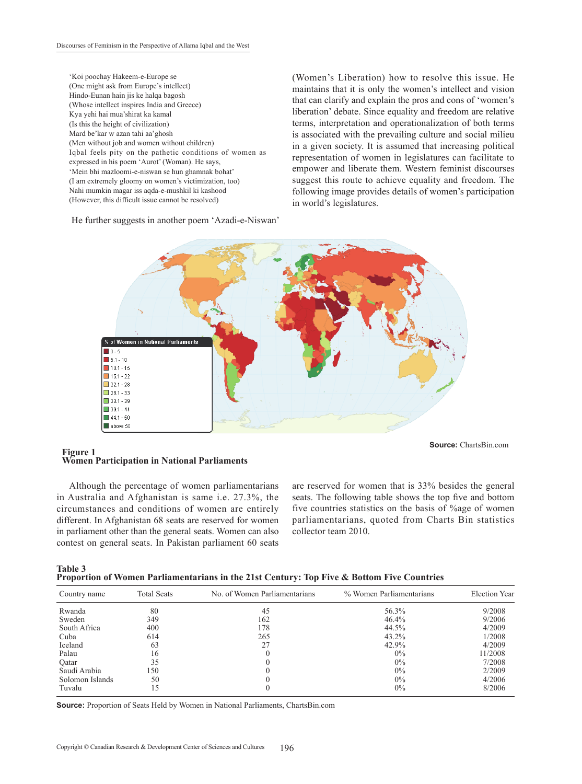'Koi poochay Hakeem-e-Europe se (One might ask from Europe's intellect) Hindo-Eunan hain jis ke halqa bagosh (Whose intellect inspires India and Greece) Kya yehi hai mua'shirat ka kamal (Is this the height of civilization) Mard be'kar w azan tahi aa'ghosh (Men without job and women without children) Iqbal feels pity on the pathetic conditions of women as expressed in his poem 'Aurot' (Woman). He says, 'Mein bhi mazloomi-e-niswan se hun ghamnak bohat' (I am extremely gloomy on women's victimization, too) Nahi mumkin magar iss aqda-e-mushkil ki kashood (However, this difficult issue cannot be resolved)

He further suggests in another poem 'Azadi-e-Niswan'

(Women's Liberation) how to resolve this issue. He maintains that it is only the women's intellect and vision that can clarify and explain the pros and cons of 'women's liberation' debate. Since equality and freedom are relative terms, interpretation and operationalization of both terms is associated with the prevailing culture and social milieu in a given society. It is assumed that increasing political representation of women in legislatures can facilitate to empower and liberate them. Western feminist discourses suggest this route to achieve equality and freedom. The following image provides details of women's participation in world's legislatures.



#### **Figure 1 Women Participation in National Parliaments**

Although the percentage of women parliamentarians in Australia and Afghanistan is same i.e. 27.3%, the circumstances and conditions of women are entirely different. In Afghanistan 68 seats are reserved for women in parliament other than the general seats. Women can also contest on general seats. In Pakistan parliament 60 seats

are reserved for women that is 33% besides the general seats. The following table shows the top five and bottom five countries statistics on the basis of %age of women parliamentarians, quoted from Charts Bin statistics collector team 2010.

| Table 3 |                                                                                            |  |  |
|---------|--------------------------------------------------------------------------------------------|--|--|
|         | Proportion of Women Parliamentarians in the 21st Century: Top Five & Bottom Five Countries |  |  |

| Country name    | <b>Total Seats</b> | No. of Women Parliamentarians | % Women Parliamentarians | <b>Election Year</b> |
|-----------------|--------------------|-------------------------------|--------------------------|----------------------|
| Rwanda          | 80                 | 45                            | 56.3%                    | 9/2008               |
| Sweden          | 349                | 162                           | 46.4%                    | 9/2006               |
| South Africa    | 400                | 178                           | 44.5%                    | 4/2009               |
| Cuba            | 614                | 265                           | $43.2\%$                 | 1/2008               |
| Iceland         | 63                 |                               | 42.9%                    | 4/2009               |
| Palau           | 16                 |                               | $0\%$                    | 11/2008              |
| Oatar           | 35                 |                               | $0\%$                    | 7/2008               |
| Saudi Arabia    | 150                |                               | $0\%$                    | 2/2009               |
| Solomon Islands | 50                 |                               | $0\%$                    | 4/2006               |
| Tuvalu          | ι5                 |                               | $0\%$                    | 8/2006               |

**source:** Proportion of Seats Held by Women in National Parliaments, ChartsBin.com